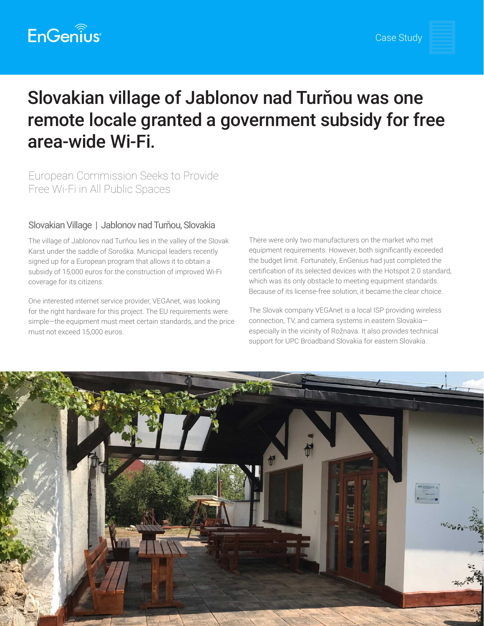

# Slovakian village of Jablonov nad Turňou was one remote locale granted a government subsidy for free area-wide Wi-Fi.

## European Commission Seeks to Provide Free Wi-Fi in All Public Spaces

### Slovakian Village | Jablonov nad Turňou, Slovakia

The village of Jablonov nad Turňou lies in the valley of the Slovak Karst under the saddle of Soroška. Municipal leaders recently signed up for a European program that allows it to obtain a subsidy of 15,000 euros for the construction of improved Wi-Fi coverage for its citizens.

One interested internet service provider, VEGAnet, was looking for the right hardware for this project. The EU requirements were simple—the equipment must meet certain standards, and the price must not exceed 15,000 euros.

There were only two manufacturers on the market who met equipment requirements. However, both significantly exceeded the budget limit. Fortunately, EnGenius had just completed the certification of its selected devices with the Hotspot 2.0 standard, which was its only obstacle to meeting equipment standards. Because of its license-free solution, it became the clear choice.

The Slovak company VEGAnet is a local ISP providing wireless connection, TV, and camera systems in eastern Slovakia especially in the vicinity of Rožnava. It also provides technical support for UPC Broadband Slovakia for eastern Slovakia.

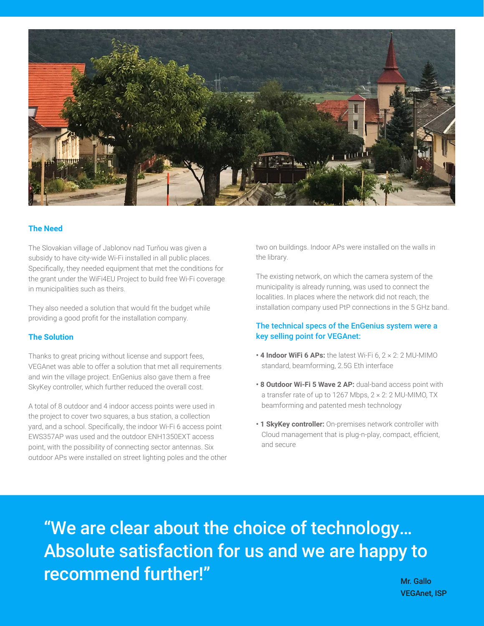

#### **The Need**

The Slovakian village of Jablonov nad Turňou was given a subsidy to have city-wide Wi-Fi installed in all public places. Specifically, they needed equipment that met the conditions for the grant under the WiFi4EU Project to build free Wi-Fi coverage in municipalities such as theirs.

They also needed a solution that would fit the budget while providing a good profit for the installation company.

#### **The Solution**

Thanks to great pricing without license and support fees, VEGAnet was able to offer a solution that met all requirements and win the village project. EnGenius also gave them a free SkyKey controller, which further reduced the overall cost.

A total of 8 outdoor and 4 indoor access points were used in the project to cover two squares, a bus station, a collection yard, and a school. Specifically, the indoor Wi-Fi 6 access point EWS357AP was used and the outdoor ENH1350EXT access point, with the possibility of connecting sector antennas. Six outdoor APs were installed on street lighting poles and the other two on buildings. Indoor APs were installed on the walls in the library.

The existing network, on which the camera system of the municipality is already running, was used to connect the localities. In places where the network did not reach, the installation company used PtP connections in the 5 GHz band.

#### The technical specs of the EnGenius system were a key selling point for VEGAnet:

- **4 Indoor WiFi 6 APs:** the latest Wi-Fi 6, 2 × 2: 2 MU-MIMO standard, beamforming, 2.5G Eth interface
- **8 Outdoor Wi-Fi 5 Wave 2 AP:** dual-band access point with a transfer rate of up to 1267 Mbps, 2 × 2: 2 MU-MIMO, TX beamforming and patented mesh technology
- **1 SkyKey controller:** On-premises network controller with Cloud management that is plug-n-play, compact, efficient, and secure

"We are clear about the choice of technology… Absolute satisfaction for us and we are happy to recommend further!"

VEGAnet, ISP